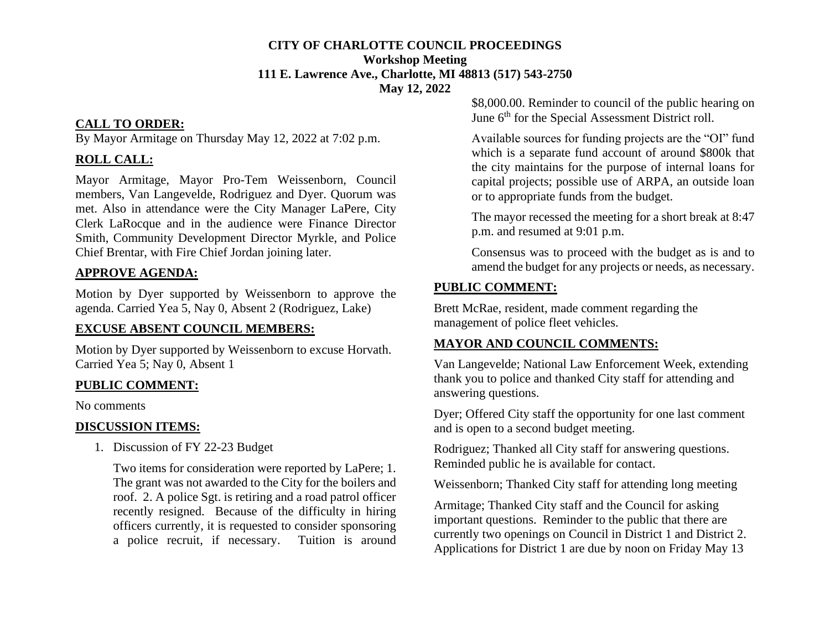# **CITY OF CHARLOTTE COUNCIL PROCEEDINGS Workshop Meeting 111 E. Lawrence Ave., Charlotte, MI 48813 (517) 543-2750 May 12, 2022**

# **CALL TO ORDER:**

By Mayor Armitage on Thursday May 12, 2022 at 7:02 p.m.

## **ROLL CALL:**

Mayor Armitage, Mayor Pro-Tem Weissenborn, Council members, Van Langevelde, Rodriguez and Dyer. Quorum was met. Also in attendance were the City Manager LaPere, City Clerk LaRocque and in the audience were Finance Director Smith, Community Development Director Myrkle, and Police Chief Brentar, with Fire Chief Jordan joining later.

#### **APPROVE AGENDA:**

Motion by Dyer supported by Weissenborn to approve the agenda. Carried Yea 5, Nay 0, Absent 2 (Rodriguez, Lake)

#### **EXCUSE ABSENT COUNCIL MEMBERS:**

Motion by Dyer supported by Weissenborn to excuse Horvath. Carried Yea 5; Nay 0, Absent 1

#### **PUBLIC COMMENT:**

No comments

#### **DISCUSSION ITEMS:**

1. Discussion of FY 22-23 Budget

Two items for consideration were reported by LaPere; 1. The grant was not awarded to the City for the boilers and roof. 2. A police Sgt. is retiring and a road patrol officer recently resigned. Because of the difficulty in hiring officers currently, it is requested to consider sponsoring a police recruit, if necessary. Tuition is around

\$8,000.00. Reminder to council of the public hearing on June 6<sup>th</sup> for the Special Assessment District roll.

Available sources for funding projects are the "OI" fund which is a separate fund account of around \$800k that the city maintains for the purpose of internal loans for capital projects; possible use of ARPA, an outside loan or to appropriate funds from the budget.

The mayor recessed the meeting for a short break at 8:47 p.m. and resumed at 9:01 p.m.

Consensus was to proceed with the budget as is and to amend the budget for any projects or needs, as necessary.

## **PUBLIC COMMENT:**

Brett McRae, resident, made comment regarding the management of police fleet vehicles.

# **MAYOR AND COUNCIL COMMENTS:**

Van Langevelde; National Law Enforcement Week, extending thank you to police and thanked City staff for attending and answering questions.

Dyer; Offered City staff the opportunity for one last comment and is open to a second budget meeting.

Rodriguez; Thanked all City staff for answering questions. Reminded public he is available for contact.

Weissenborn; Thanked City staff for attending long meeting

Armitage; Thanked City staff and the Council for asking important questions. Reminder to the public that there are currently two openings on Council in District 1 and District 2. Applications for District 1 are due by noon on Friday May 13